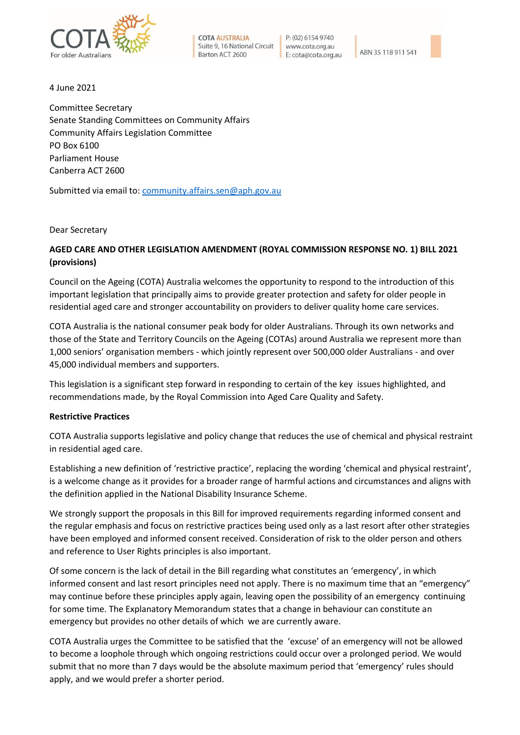

**COTA AUSTRALIA** Suite 9, 16 National Circuit Barton ACT 2600

 $P (02) 61549740$ www.cota.org.au E: cota@cota.org.au

ABN 35 118 911 54



4 June 2021

Committee Secretary Senate Standing Committees on Community Affairs Community Affairs Legislation Committee PO Box 6100 Parliament House Canberra ACT 2600

Submitted via email to: [community.affairs.sen@aph.gov.au](mailto:community.affairs.sen@aph.gov.au)

Dear Secretary

## **AGED CARE AND OTHER LEGISLATION AMENDMENT (ROYAL COMMISSION RESPONSE NO. 1) BILL 2021 (provisions)**

Council on the Ageing (COTA) Australia welcomes the opportunity to respond to the introduction of this important legislation that principally aims to provide greater protection and safety for older people in residential aged care and stronger accountability on providers to deliver quality home care services.

COTA Australia is the national consumer peak body for older Australians. Through its own networks and those of the State and Territory Councils on the Ageing (COTAs) around Australia we represent more than 1,000 seniors' organisation members - which jointly represent over 500,000 older Australians - and over 45,000 individual members and supporters.

This legislation is a significant step forward in responding to certain of the key issues highlighted, and recommendations made, by the Royal Commission into Aged Care Quality and Safety.

## **Restrictive Practices**

COTA Australia supports legislative and policy change that reduces the use of chemical and physical restraint in residential aged care.

Establishing a new definition of 'restrictive practice', replacing the wording 'chemical and physical restraint', is a welcome change as it provides for a broader range of harmful actions and circumstances and aligns with the definition applied in the National Disability Insurance Scheme.

We strongly support the proposals in this Bill for improved requirements regarding informed consent and the regular emphasis and focus on restrictive practices being used only as a last resort after other strategies have been employed and informed consent received. Consideration of risk to the older person and others and reference to User Rights principles is also important.

Of some concern is the lack of detail in the Bill regarding what constitutes an 'emergency', in which informed consent and last resort principles need not apply. There is no maximum time that an "emergency" may continue before these principles apply again, leaving open the possibility of an emergency continuing for some time. The Explanatory Memorandum states that a change in behaviour can constitute an emergency but provides no other details of which we are currently aware.

COTA Australia urges the Committee to be satisfied that the 'excuse' of an emergency will not be allowed to become a loophole through which ongoing restrictions could occur over a prolonged period. We would submit that no more than 7 days would be the absolute maximum period that 'emergency' rules should apply, and we would prefer a shorter period.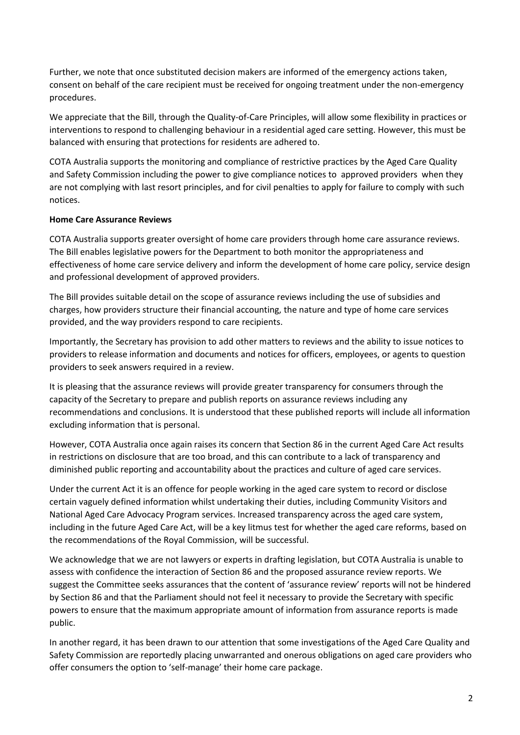Further, we note that once substituted decision makers are informed of the emergency actions taken, consent on behalf of the care recipient must be received for ongoing treatment under the non-emergency procedures.

We appreciate that the Bill, through the Quality-of-Care Principles, will allow some flexibility in practices or interventions to respond to challenging behaviour in a residential aged care setting. However, this must be balanced with ensuring that protections for residents are adhered to.

COTA Australia supports the monitoring and compliance of restrictive practices by the Aged Care Quality and Safety Commission including the power to give compliance notices to approved providers when they are not complying with last resort principles, and for civil penalties to apply for failure to comply with such notices.

## **Home Care Assurance Reviews**

COTA Australia supports greater oversight of home care providers through home care assurance reviews. The Bill enables legislative powers for the Department to both monitor the appropriateness and effectiveness of home care service delivery and inform the development of home care policy, service design and professional development of approved providers.

The Bill provides suitable detail on the scope of assurance reviews including the use of subsidies and charges, how providers structure their financial accounting, the nature and type of home care services provided, and the way providers respond to care recipients.

Importantly, the Secretary has provision to add other matters to reviews and the ability to issue notices to providers to release information and documents and notices for officers, employees, or agents to question providers to seek answers required in a review.

It is pleasing that the assurance reviews will provide greater transparency for consumers through the capacity of the Secretary to prepare and publish reports on assurance reviews including any recommendations and conclusions. It is understood that these published reports will include all information excluding information that is personal.

However, COTA Australia once again raises its concern that Section 86 in the current Aged Care Act results in restrictions on disclosure that are too broad, and this can contribute to a lack of transparency and diminished public reporting and accountability about the practices and culture of aged care services.

Under the current Act it is an offence for people working in the aged care system to record or disclose certain vaguely defined information whilst undertaking their duties, including Community Visitors and National Aged Care Advocacy Program services. Increased transparency across the aged care system, including in the future Aged Care Act, will be a key litmus test for whether the aged care reforms, based on the recommendations of the Royal Commission, will be successful.

We acknowledge that we are not lawyers or experts in drafting legislation, but COTA Australia is unable to assess with confidence the interaction of Section 86 and the proposed assurance review reports. We suggest the Committee seeks assurances that the content of 'assurance review' reports will not be hindered by Section 86 and that the Parliament should not feel it necessary to provide the Secretary with specific powers to ensure that the maximum appropriate amount of information from assurance reports is made public.

In another regard, it has been drawn to our attention that some investigations of the Aged Care Quality and Safety Commission are reportedly placing unwarranted and onerous obligations on aged care providers who offer consumers the option to 'self-manage' their home care package.